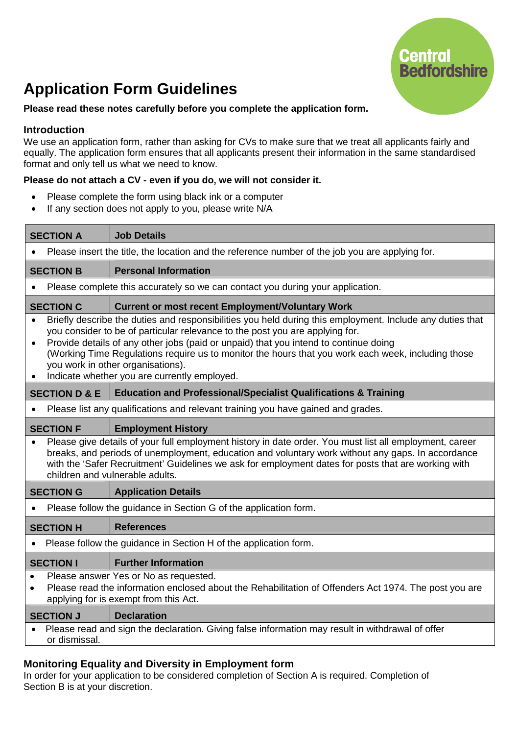# **Central Bedfordshire**

# **Application Form Guidelines**

### **Please read these notes carefully before you complete the application form.**

### **Introduction**

We use an application form, rather than asking for CVs to make sure that we treat all applicants fairly and equally. The application form ensures that all applicants present their information in the same standardised format and only tell us what we need to know.

### **Please do not attach a CV - even if you do, we will not consider it.**

- Please complete the form using black ink or a computer
- If any section does not apply to you, please write N/A

| <b>SECTION A</b>                                                                                                                                                                                                                                                                                                                                                                                                                                                                                       | <b>Job Details</b>                                                               |  |
|--------------------------------------------------------------------------------------------------------------------------------------------------------------------------------------------------------------------------------------------------------------------------------------------------------------------------------------------------------------------------------------------------------------------------------------------------------------------------------------------------------|----------------------------------------------------------------------------------|--|
| Please insert the title, the location and the reference number of the job you are applying for.                                                                                                                                                                                                                                                                                                                                                                                                        |                                                                                  |  |
| <b>SECTION B</b>                                                                                                                                                                                                                                                                                                                                                                                                                                                                                       | <b>Personal Information</b>                                                      |  |
| Please complete this accurately so we can contact you during your application.                                                                                                                                                                                                                                                                                                                                                                                                                         |                                                                                  |  |
| <b>SECTION C</b>                                                                                                                                                                                                                                                                                                                                                                                                                                                                                       | <b>Current or most recent Employment/Voluntary Work</b>                          |  |
| Briefly describe the duties and responsibilities you held during this employment. Include any duties that<br>you consider to be of particular relevance to the post you are applying for.<br>Provide details of any other jobs (paid or unpaid) that you intend to continue doing<br>$\bullet$<br>(Working Time Regulations require us to monitor the hours that you work each week, including those<br>you work in other organisations).<br>Indicate whether you are currently employed.<br>$\bullet$ |                                                                                  |  |
| <b>SECTION D &amp; E</b>                                                                                                                                                                                                                                                                                                                                                                                                                                                                               | <b>Education and Professional/Specialist Qualifications &amp; Training</b>       |  |
|                                                                                                                                                                                                                                                                                                                                                                                                                                                                                                        | Please list any qualifications and relevant training you have gained and grades. |  |
| <b>SECTION F</b>                                                                                                                                                                                                                                                                                                                                                                                                                                                                                       | <b>Employment History</b>                                                        |  |
| Please give details of your full employment history in date order. You must list all employment, career<br>breaks, and periods of unemployment, education and voluntary work without any gaps. In accordance<br>with the 'Safer Recruitment' Guidelines we ask for employment dates for posts that are working with<br>children and vulnerable adults.                                                                                                                                                 |                                                                                  |  |
| <b>SECTION G</b>                                                                                                                                                                                                                                                                                                                                                                                                                                                                                       | <b>Application Details</b>                                                       |  |
| Please follow the guidance in Section G of the application form.                                                                                                                                                                                                                                                                                                                                                                                                                                       |                                                                                  |  |
| <b>SECTION H</b>                                                                                                                                                                                                                                                                                                                                                                                                                                                                                       | <b>References</b>                                                                |  |
| Please follow the guidance in Section H of the application form.                                                                                                                                                                                                                                                                                                                                                                                                                                       |                                                                                  |  |
| <b>SECTION I</b>                                                                                                                                                                                                                                                                                                                                                                                                                                                                                       | <b>Further Information</b>                                                       |  |
| Please answer Yes or No as requested.<br>$\bullet$<br>Please read the information enclosed about the Rehabilitation of Offenders Act 1974. The post you are<br>$\bullet$<br>applying for is exempt from this Act.                                                                                                                                                                                                                                                                                      |                                                                                  |  |
| <b>SECTION J</b>                                                                                                                                                                                                                                                                                                                                                                                                                                                                                       | <b>Declaration</b>                                                               |  |
| Please read and sign the declaration. Giving false information may result in withdrawal of offer<br>or dismissal.                                                                                                                                                                                                                                                                                                                                                                                      |                                                                                  |  |

### **Monitoring Equality and Diversity in Employment form**

In order for your application to be considered completion of Section A is required. Completion of Section B is at your discretion.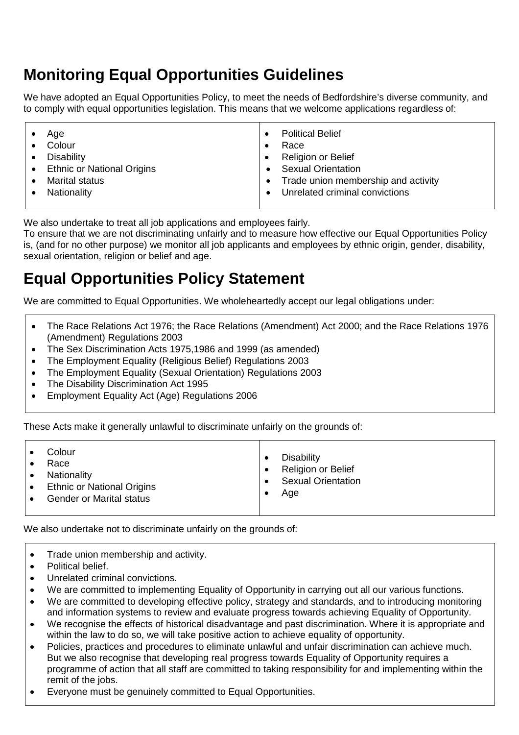# **Monitoring Equal Opportunities Guidelines**

We have adopted an Equal Opportunities Policy, to meet the needs of Bedfordshire's diverse community, and to comply with equal opportunities legislation. This means that we welcome applications regardless of:

We also undertake to treat all job applications and employees fairly.

To ensure that we are not discriminating unfairly and to measure how effective our Equal Opportunities Policy is, (and for no other purpose) we monitor all job applicants and employees by ethnic origin, gender, disability, sexual orientation, religion or belief and age.

# **Equal Opportunities Policy Statement**

We are committed to Equal Opportunities. We wholeheartedly accept our legal obligations under:

- The Race Relations Act 1976; the Race Relations (Amendment) Act 2000; and the Race Relations 1976 (Amendment) Regulations 2003
- The Sex Discrimination Acts 1975,1986 and 1999 (as amended)
- The Employment Equality (Religious Belief) Regulations 2003
- The Employment Equality (Sexual Orientation) Regulations 2003
- The Disability Discrimination Act 1995
- Employment Equality Act (Age) Regulations 2006

These Acts make it generally unlawful to discriminate unfairly on the grounds of:

| Colour<br>Race<br>Nationality<br><b>Ethnic or National Origins</b><br><b>Gender or Marital status</b> | <b>Disability</b><br>Religion or Belief<br><b>Sexual Orientation</b><br>Age |
|-------------------------------------------------------------------------------------------------------|-----------------------------------------------------------------------------|
|-------------------------------------------------------------------------------------------------------|-----------------------------------------------------------------------------|

We also undertake not to discriminate unfairly on the grounds of:

- Trade union membership and activity.
- Political belief.
- Unrelated criminal convictions.
- We are committed to implementing Equality of Opportunity in carrying out all our various functions.
- We are committed to developing effective policy, strategy and standards, and to introducing monitoring and information systems to review and evaluate progress towards achieving Equality of Opportunity.
- We recognise the effects of historical disadvantage and past discrimination. Where it is appropriate and within the law to do so, we will take positive action to achieve equality of opportunity.
- Policies, practices and procedures to eliminate unlawful and unfair discrimination can achieve much. But we also recognise that developing real progress towards Equality of Opportunity requires a programme of action that all staff are committed to taking responsibility for and implementing within the remit of the jobs.
- Everyone must be genuinely committed to Equal Opportunities.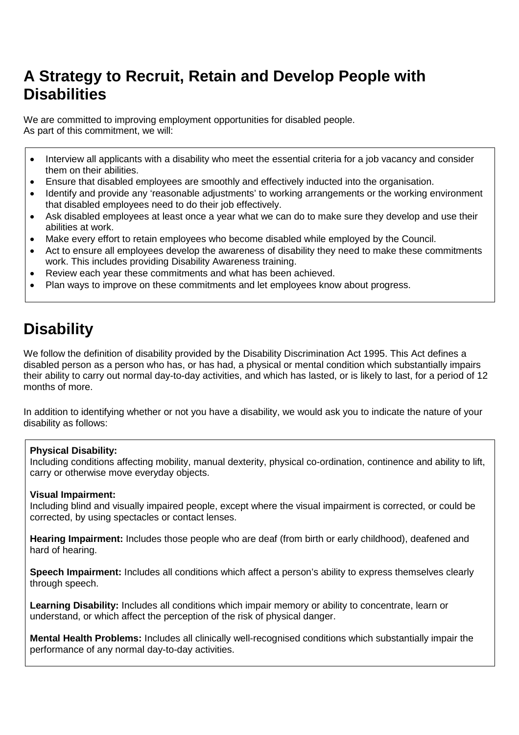# **A Strategy to Recruit, Retain and Develop People with Disabilities**

We are committed to improving employment opportunities for disabled people. As part of this commitment, we will:

- Interview all applicants with a disability who meet the essential criteria for a job vacancy and consider them on their abilities.
- Ensure that disabled employees are smoothly and effectively inducted into the organisation.
- Identify and provide any 'reasonable adjustments' to working arrangements or the working environment that disabled employees need to do their job effectively.
- Ask disabled employees at least once a year what we can do to make sure they develop and use their abilities at work.
- Make every effort to retain employees who become disabled while employed by the Council.
- Act to ensure all employees develop the awareness of disability they need to make these commitments work. This includes providing Disability Awareness training.
- Review each year these commitments and what has been achieved.
- Plan ways to improve on these commitments and let employees know about progress.

# **Disability**

We follow the definition of disability provided by the Disability Discrimination Act 1995. This Act defines a disabled person as a person who has, or has had, a physical or mental condition which substantially impairs their ability to carry out normal day-to-day activities, and which has lasted, or is likely to last, for a period of 12 months of more.

In addition to identifying whether or not you have a disability, we would ask you to indicate the nature of your disability as follows:

### **Physical Disability:**

Including conditions affecting mobility, manual dexterity, physical co-ordination, continence and ability to lift, carry or otherwise move everyday objects.

### **Visual Impairment:**

Including blind and visually impaired people, except where the visual impairment is corrected, or could be corrected, by using spectacles or contact lenses.

**Hearing Impairment:** Includes those people who are deaf (from birth or early childhood), deafened and hard of hearing.

**Speech Impairment:** Includes all conditions which affect a person's ability to express themselves clearly through speech.

**Learning Disability:** Includes all conditions which impair memory or ability to concentrate, learn or understand, or which affect the perception of the risk of physical danger.

**Mental Health Problems:** Includes all clinically well-recognised conditions which substantially impair the performance of any normal day-to-day activities.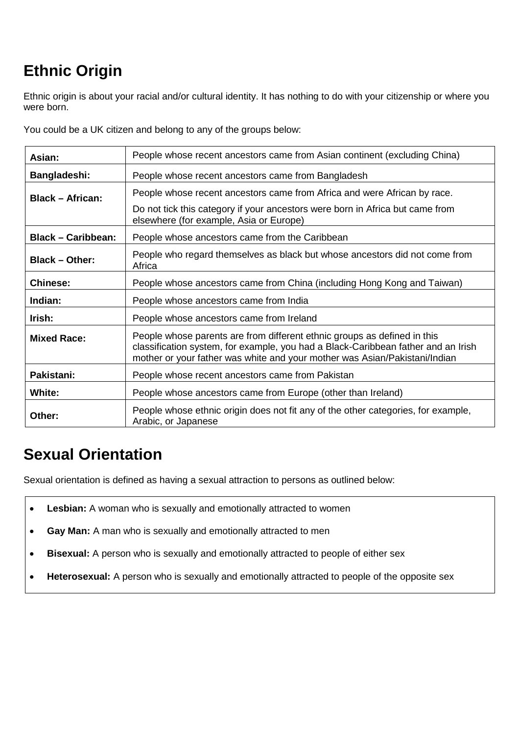# **Ethnic Origin**

Ethnic origin is about your racial and/or cultural identity. It has nothing to do with your citizenship or where you were born.

You could be a UK citizen and belong to any of the groups below:

| Asian:                    | People whose recent ancestors came from Asian continent (excluding China)                                                                                                                                                                   |  |  |
|---------------------------|---------------------------------------------------------------------------------------------------------------------------------------------------------------------------------------------------------------------------------------------|--|--|
| Bangladeshi:              | People whose recent ancestors came from Bangladesh                                                                                                                                                                                          |  |  |
| <b>Black - African:</b>   | People whose recent ancestors came from Africa and were African by race.                                                                                                                                                                    |  |  |
|                           | Do not tick this category if your ancestors were born in Africa but came from<br>elsewhere (for example, Asia or Europe)                                                                                                                    |  |  |
| <b>Black - Caribbean:</b> | People whose ancestors came from the Caribbean                                                                                                                                                                                              |  |  |
| <b>Black - Other:</b>     | People who regard themselves as black but whose ancestors did not come from<br>Africa                                                                                                                                                       |  |  |
| <b>Chinese:</b>           | People whose ancestors came from China (including Hong Kong and Taiwan)                                                                                                                                                                     |  |  |
| Indian:                   | People whose ancestors came from India                                                                                                                                                                                                      |  |  |
| Irish:                    | People whose ancestors came from Ireland                                                                                                                                                                                                    |  |  |
| <b>Mixed Race:</b>        | People whose parents are from different ethnic groups as defined in this<br>classification system, for example, you had a Black-Caribbean father and an Irish<br>mother or your father was white and your mother was Asian/Pakistani/Indian |  |  |
| Pakistani:                | People whose recent ancestors came from Pakistan                                                                                                                                                                                            |  |  |
| White:                    | People whose ancestors came from Europe (other than Ireland)                                                                                                                                                                                |  |  |
| Other:                    | People whose ethnic origin does not fit any of the other categories, for example,<br>Arabic, or Japanese                                                                                                                                    |  |  |

# **Sexual Orientation**

Sexual orientation is defined as having a sexual attraction to persons as outlined below:

- **Lesbian:** A woman who is sexually and emotionally attracted to women
- **Gay Man:** A man who is sexually and emotionally attracted to men
- **Bisexual:** A person who is sexually and emotionally attracted to people of either sex
- **Heterosexual:** A person who is sexually and emotionally attracted to people of the opposite sex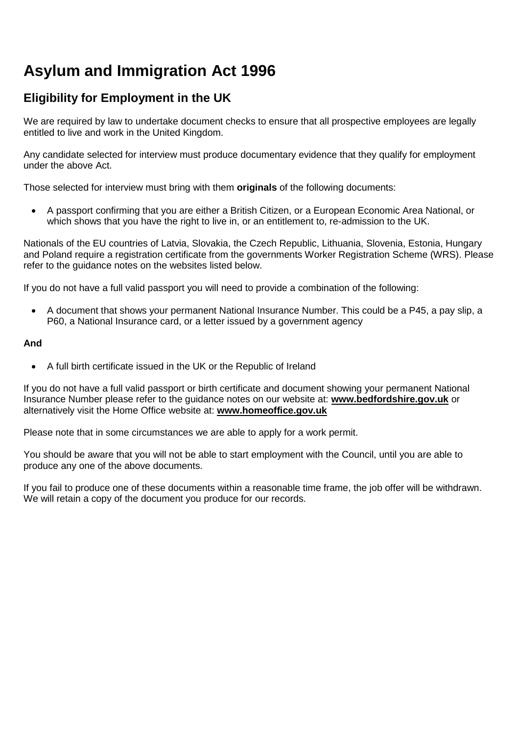# **Asylum and Immigration Act 1996**

### **Eligibility for Employment in the UK**

We are required by law to undertake document checks to ensure that all prospective employees are legally entitled to live and work in the United Kingdom.

Any candidate selected for interview must produce documentary evidence that they qualify for employment under the above Act.

Those selected for interview must bring with them **originals** of the following documents:

 A passport confirming that you are either a British Citizen, or a European Economic Area National, or which shows that you have the right to live in, or an entitlement to, re-admission to the UK.

Nationals of the EU countries of Latvia, Slovakia, the Czech Republic, Lithuania, Slovenia, Estonia, Hungary and Poland require a registration certificate from the governments Worker Registration Scheme (WRS). Please refer to the guidance notes on the websites listed below.

If you do not have a full valid passport you will need to provide a combination of the following:

 A document that shows your permanent National Insurance Number. This could be a P45, a pay slip, a P60, a National Insurance card, or a letter issued by a government agency

### **And**

A full birth certificate issued in the UK or the Republic of Ireland

If you do not have a full valid passport or birth certificate and document showing your permanent National Insurance Number please refer to the guidance notes on our website at: **www.bedfordshire.gov.uk** or alternatively visit the Home Office website at: **www.homeoffice.gov.uk**

Please note that in some circumstances we are able to apply for a work permit.

You should be aware that you will not be able to start employment with the Council, until you are able to produce any one of the above documents.

If you fail to produce one of these documents within a reasonable time frame, the job offer will be withdrawn. We will retain a copy of the document you produce for our records.